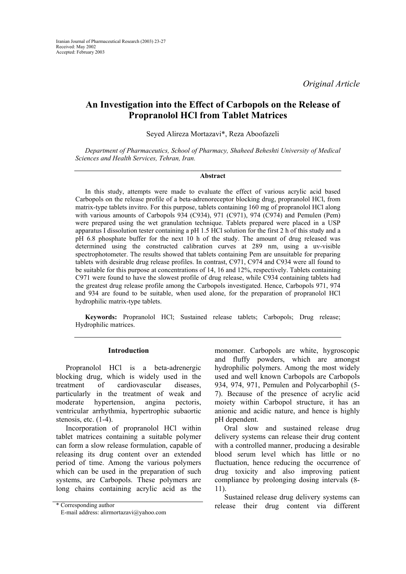*Original Article* 

# **An Investigation into the Effect of Carbopols on the Release of Propranolol HCl from Tablet Matrices**

Seyed Alireza Mortazavi\*, Reza Aboofazeli

*Department of Pharmaceutics, School of Pharmacy, Shaheed Beheshti University of Medical Sciences and Health Services, Tehran, Iran.* 

#### **Abstract**

In this study, attempts were made to evaluate the effect of various acrylic acid based Carbopols on the release profile of a beta-adrenoreceptor blocking drug, propranolol HCl, from matrix-type tablets invitro. For this purpose, tablets containing 160 mg of propranolol HCl along with various amounts of Carbopols 934 (C934), 971 (C971), 974 (C974) and Pemulen (Pem) were prepared using the wet granulation technique. Tablets prepared were placed in a USP apparatus I dissolution tester containing a pH 1.5 HCl solution for the first 2 h of this study and a pH 6.8 phosphate buffer for the next 10 h of the study. The amount of drug released was determined using the constructed calibration curves at 289 nm, using a uv-visible spectrophotometer. The results showed that tablets containing Pem are unsuitable for preparing tablets with desirable drug release profiles. In contrast, C971, C974 and C934 were all found to be suitable for this purpose at concentrations of 14, 16 and 12%, respectively. Tablets containing C971 were found to have the slowest profile of drug release, while C934 containing tablets had the greatest drug release profile among the Carbopols investigated. Hence, Carbopols 971, 974 and 934 are found to be suitable, when used alone, for the preparation of propranolol HCl hydrophilic matrix-type tablets.

**Keywords:** Propranolol HCl; Sustained release tablets; Carbopols; Drug release; Hydrophilic matrices.

#### **Introduction**

Propranolol HCl is a beta-adrenergic blocking drug, which is widely used in the treatment of cardiovascular diseases, particularly in the treatment of weak and moderate hypertension, angina pectoris, ventricular arrhythmia, hypertrophic subaortic stenosis, etc. (1-4).

Incorporation of propranolol HCl within tablet matrices containing a suitable polymer can form a slow release formulation, capable of releasing its drug content over an extended period of time. Among the various polymers which can be used in the preparation of such systems, are Carbopols. These polymers are long chains containing acrylic acid as the

monomer. Carbopols are white, hygroscopic and fluffy powders, which are amongst hydrophilic polymers. Among the most widely used and well known Carbopols are Carbopols 934, 974, 971, Pemulen and Polycarbophil (5- 7). Because of the presence of acrylic acid moiety within Carbopol structure, it has an anionic and acidic nature, and hence is highly pH dependent.

Oral slow and sustained release drug delivery systems can release their drug content with a controlled manner, producing a desirable blood serum level which has little or no fluctuation, hence reducing the occurrence of drug toxicity and also improving patient compliance by prolonging dosing intervals (8- 11).

Sustained release drug delivery systems can \* Corresponding author release their drug content via different

E-mail address: alirmortazavi@yahoo.com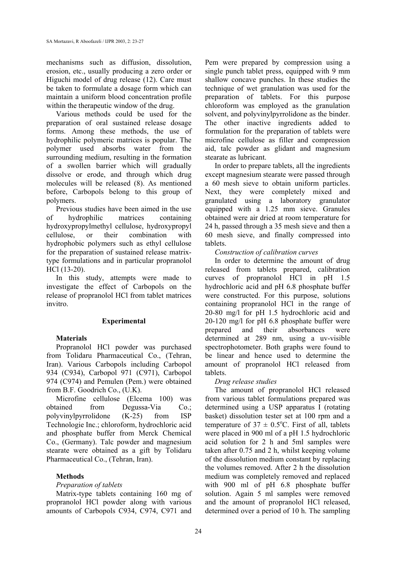mechanisms such as diffusion, dissolution, erosion, etc., usually producing a zero order or Higuchi model of drug release (12). Care must be taken to formulate a dosage form which can maintain a uniform blood concentration profile within the therapeutic window of the drug.

Various methods could be used for the preparation of oral sustained release dosage forms. Among these methods, the use of hydrophilic polymeric matrices is popular. The polymer used absorbs water from the surrounding medium, resulting in the formation of a swollen barrier which will gradually dissolve or erode, and through which drug molecules will be released (8). As mentioned before, Carbopols belong to this group of polymers.

Previous studies have been aimed in the use of hydrophilic matrices containing hydroxypropylmethyl cellulose, hydroxypropyl cellulose, or their combination with hydrophobic polymers such as ethyl cellulose for the preparation of sustained release matrixtype formulations and in particular propranolol HCl (13-20).

In this study, attempts were made to investigate the effect of Carbopols on the release of propranolol HCl from tablet matrices invitro.

## **Experimental**

## **Materials**

Propranolol HCl powder was purchased from Tolidaru Pharmaceutical Co., (Tehran, Iran). Various Carbopols including Carbopol 934 (C934), Carbopol 971 (C971), Carbopol 974 (C974) and Pemulen (Pem.) were obtained from B.F. Goodrich Co., (U.K).

Microfine cellulose (Elcema 100) was obtained from Degussa-Via Co.; polyvinylpyrrolidone (K-25) from ISP Technologie Inc.; chloroform, hydrochloric acid and phosphate buffer from Merck Chemical Co., (Germany). Talc powder and magnesium stearate were obtained as a gift by Tolidaru Pharmaceutical Co., (Tehran, Iran).

## **Methods**

## *Preparation of tablets*

Matrix-type tablets containing 160 mg of propranolol HCl powder along with various amounts of Carbopols C934, C974, C971 and

Pem were prepared by compression using a single punch tablet press, equipped with 9 mm shallow concave punches. In these studies the technique of wet granulation was used for the preparation of tablets. For this purpose chloroform was employed as the granulation solvent, and polyvinylpyrrolidone as the binder. The other inactive ingredients added to formulation for the preparation of tablets were microfine cellulose as filler and compression aid, talc powder as glidant and magnesium stearate as lubricant.

In order to prepare tablets, all the ingredients except magnesium stearate were passed through a 60 mesh sieve to obtain uniform particles. Next, they were completely mixed and granulated using a laboratory granulator equipped with a 1.25 mm sieve. Granules obtained were air dried at room temperature for 24 h, passed through a 35 mesh sieve and then a 60 mesh sieve, and finally compressed into tablets.

## *Construction of calibration curves*

In order to determine the amount of drug released from tablets prepared, calibration curves of propranolol HCl in pH 1.5 hydrochloric acid and pH 6.8 phosphate buffer were constructed. For this purpose, solutions containing propranolol HCl in the range of 20-80 mg/l for pH 1.5 hydrochloric acid and 20-120 mg/l for pH 6.8 phosphate buffer were prepared and their absorbances were determined at 289 nm, using a uv-visible spectrophotometer. Both graphs were found to be linear and hence used to determine the amount of propranolol HCl released from tablets.

## *Drug release studies*

The amount of propranolol HCl released from various tablet formulations prepared was determined using a USP apparatus I (rotating basket) dissolution tester set at 100 rpm and a temperature of  $37 \pm 0.5^{\circ}$ C. First of all, tablets were placed in 900 ml of a pH 1.5 hydrochloric acid solution for 2 h and 5ml samples were taken after 0.75 and 2 h, whilst keeping volume of the dissolution medium constant by replacing the volumes removed. After 2 h the dissolution medium was completely removed and replaced with 900 ml of pH 6.8 phosphate buffer solution. Again 5 ml samples were removed and the amount of propranolol HCl released, determined over a period of 10 h. The sampling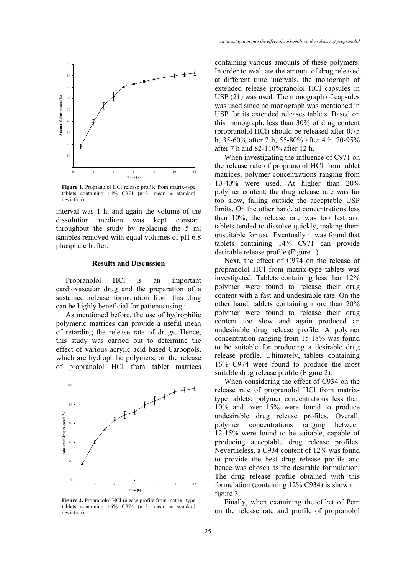

**Figure 1.** Propranolol HCl release profile from matrix-type tablets containing 14% C971 ( $n=3$ , mean  $\pm$  standard deviation).

interval was 1 h, and again the volume of the dissolution medium was kept constant throughout the study by replacing the 5 ml samples removed with equal volumes of pH 6.8 phosphate buffer.

#### **Results and Discussion**

Propranolol HCl is an important cardiovascular drug and the preparation of a sustained release formulation from this drug can be highly beneficial for patients using it.

As mentioned before, the use of hydrophilic polymeric matrices can provide a useful mean of retarding the release rate of drugs. Hence, this study was carried out to determine the effect of various acrylic acid based Carbopols, which are hydrophilic polymers, on the release of propranolol HCl from tablet matrices



**Figure 2.** Propranolol HCl release profile from matrix- type tablets containing  $16\%$  C974 (n=3, mean  $\pm$  standard deviation).

containing various amounts of these polymers. In order to evaluate the amount of drug released at different time intervals, the monograph of extended release propranolol HCl capsules in USP (21) was used. The monograph of capsules was used since no monograph was mentioned in USP for its extended releases tablets. Based on this monograph, less than 30% of drug content (propranolol HCl) should be released after 0.75 h, 35-60% after 2 h, 55-80% after 4 h, 70-95% after 7 h and 82-110% after 12 h.

When investigating the influence of C971 on the release rate of propranolol HCl from tablet matrices, polymer concentrations ranging from 10-40% were used. At higher than 20% polymer content, the drug release rate was far too slow, falling outside the acceptable USP limits. On the other hand, at concentrations less than 10%, the release rate was too fast and tablets tended to dissolve quickly, making them unsuitable for use. Eventually it was found that tablets containing 14% C971 can provide desirable release profile (Figure 1).

Next, the effect of C974 on the release of propranolol HCl from matrix-type tablets was investigated. Tablets containing less than 12% polymer were found to release their drug content with a fast and undesirable rate. On the other hand, tablets containing more than 20% polymer were found to release their drug content too slow and again produced an undesirable drug release profile. A polymer concentration ranging from 15-18% was found to be suitable for producing a desirable drug release profile. Ultimately, tablets containing 16% C974 were found to produce the most suitable drug release profile (Figure 2).

When considering the effect of C934 on the release rate of propranolol HCl from matrixtype tablets, polymer concentrations less than 10% and over 15% were found to produce undesirable drug release profiles. Overall, polymer concentrations ranging between 12-15% were found to be suitable, capable of producing acceptable drug release profiles. Nevertheless, a C934 content of 12% was found to provide the best drug release profile and hence was chosen as the desirable formulation. The drug release profile obtained with this formulation (containing 12% C934) is shown in figure 3.

Finally, when examining the effect of Pem on the release rate and profile of propranolol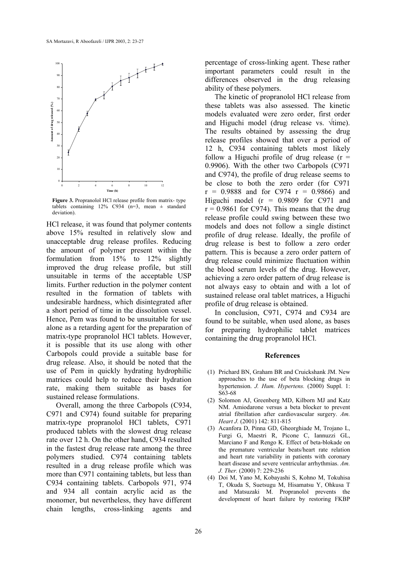

**Figure 3.** Propranolol HCl release profile from matrix- type tablets containing  $12\%$  C934 (n=3, mean  $\pm$  standard deviation).

HCl release, it was found that polymer contents above 15% resulted in relatively slow and unacceptable drug release profiles. Reducing the amount of polymer present within the formulation from 15% to 12% slightly improved the drug release profile, but still unsuitable in terms of the acceptable USP limits. Further reduction in the polymer content resulted in the formation of tablets with undesirable hardness, which disintegrated after a short period of time in the dissolution vessel. Hence, Pem was found to be unsuitable for use alone as a retarding agent for the preparation of matrix-type propranolol HCl tablets. However, it is possible that its use along with other Carbopols could provide a suitable base for drug release. Also, it should be noted that the use of Pem in quickly hydrating hydrophilic matrices could help to reduce their hydration rate, making them suitable as bases for sustained release formulations.

Overall, among the three Carbopols (C934, C971 and C974) found suitable for preparing matrix-type propranolol HCl tablets, C971 produced tablets with the slowest drug release rate over 12 h. On the other hand, C934 resulted in the fastest drug release rate among the three polymers studied. C974 containing tablets resulted in a drug release profile which was more than C971 containing tablets, but less than C934 containing tablets. Carbopols 971, 974 and 934 all contain acrylic acid as the monomer, but nevertheless, they have different chain lengths, cross-linking agents and

percentage of cross-linking agent. These rather important parameters could result in the differences observed in the drug releasing ability of these polymers.

The kinetic of propranolol HCl release from these tablets was also assessed. The kinetic models evaluated were zero order, first order and Higuchi model (drug release vs. √time). The results obtained by assessing the drug release profiles showed that over a period of 12 h, C934 containing tablets most likely follow a Higuchi profile of drug release  $(r =$ 0.9906). With the other two Carbopols (C971 and C974), the profile of drug release seems to be close to both the zero order (for C971  $r = 0.9888$  and for C974  $r = 0.9866$  and Higuchi model ( $r = 0.9809$  for C971 and  $r = 0.9861$  for C974). This means that the drug release profile could swing between these two models and does not follow a single distinct profile of drug release. Ideally, the profile of drug release is best to follow a zero order pattern. This is because a zero order pattern of drug release could minimize fluctuation within the blood serum levels of the drug. However, achieving a zero order pattern of drug release is not always easy to obtain and with a lot of sustained release oral tablet matrices, a Higuchi profile of drug release is obtained.

In conclusion, C971, C974 and C934 are found to be suitable, when used alone, as bases for preparing hydrophilic tablet matrices containing the drug propranolol HCl.

#### **References**

- (1) Prichard BN, Graham BR and Cruickshank JM. New approaches to the use of beta blocking drugs in hypertension. *J. Hum. Hypertens.* (2000) Suppl. 1: S63-68
- (2) Solomon AJ, Greenberg MD, Kilborn MJ and Katz NM. Amiodarone versus a beta blocker to prevent atrial fibrillation after cardiovascular surgery. *Am. Heart J.* (2001) 142: 811-815
- (3) Acanfora D, Pinna GD, Gheorghiade M, Trojano L, Furgi G, Maestri R, Picone C, Iannuzzi GL, Marciano F and Rengo K. Effect of beta-blokade on the premature ventricular beats/heart rate relation and heart rate variability in patients with coronary heart disease and severe ventricular arrhythmias. *Am. J. Ther.* (2000) 7: 229-236
- (4) Doi M, Yano M, Kobayashi S, Kohno M, Tokuhisa T, Okuda S, Suetsugu M, Hisamatsu Y, Ohkusa T and Matsuzaki M. Propranolol prevents the development of heart failure by restoring FKBP